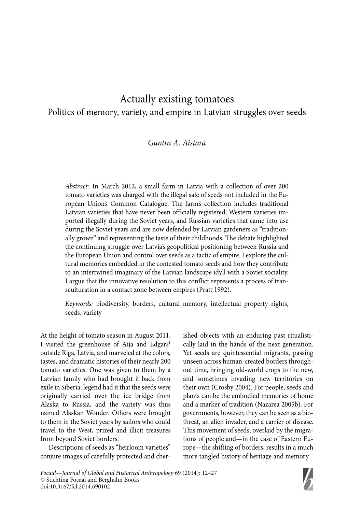# Actually existing tomatoes Politics of memory, variety, and empire in Latvian struggles over seeds

# *Guntra A. Aistara*

*Abstract:* In March 2012, a small farm in Latvia with a collection of over 200 tomato varieties was charged with the illegal sale of seeds not included in the European Union's Common Catalogue. The farm's collection includes traditional Latvian varieties that have never been officially registered, Western varieties imported illegally during the Soviet years, and Russian varieties that came into use during the Soviet years and are now defended by Latvian gardeners as "traditionally grown" and representing the taste of their childhoods. The debate highlighted the continuing struggle over Latvia's geopolitical positioning between Russia and the European Union and control over seeds as a tactic of empire. I explore the cultural memories embedded in the contested tomato seeds and how they contribute to an intertwined imaginary of the Latvian landscape idyll with a Soviet sociality. I argue that the innovative resolution to this conflict represents a process of transculturation in a contact zone between empires (Pratt 1992).

*Keywords:* biodiversity, borders, cultural memory, intellectual property rights, seeds, variety

At the height of tomato season in August 2011, I visited the greenhouse of Aija and Edgars<sup>1</sup> outside Riga, Latvia, and marveled at the colors, tastes, and dramatic histories of their nearly 200 tomato varieties. One was given to them by a Latvian family who had brought it back from exile in Siberia: legend had it that the seeds were originally carried over the ice bridge from Alaska to Russia, and the variety was thus named Alaskan Wonder. Others were brought to them in the Soviet years by sailors who could travel to the West, prized and illicit treasures from beyond Soviet borders.

Descriptions of seeds as "heirloom varieties" conjure images of carefully protected and cherished objects with an enduring past ritualistically laid in the hands of the next generation. Yet seeds are quintessential migrants, passing unseen across human-created borders throughout time, bringing old-world crops to the new, and sometimes invading new territories on their own (Crosby 2004). For people, seeds and plants can be the embodied memories of home and a marker of tradition (Nazarea 2005b). For governments, however, they can be seen as a bio threat, an alien invader, and a carrier of disease. This movement of seeds, overlaid by the migrations of people and—in the case of Eastern Europe—the shifting of borders, results in a much more tangled history of heritage and memory.

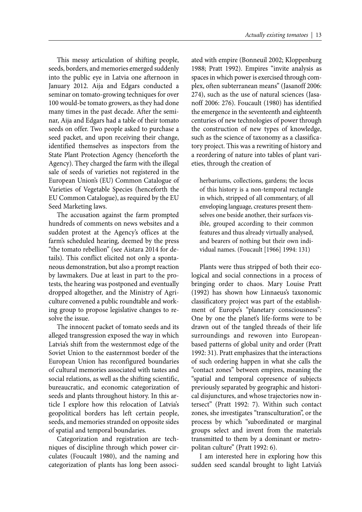This messy articulation of shifting people, seeds, borders, and memories emerged suddenly into the public eye in Latvia one afternoon in January 2012. Aija and Edgars conducted a seminar on tomato-growing techniques for over 100 would-be tomato growers, as they had done many times in the past decade. After the seminar, Aija and Edgars had a table of their tomato seeds on offer. Two people asked to purchase a seed packet, and upon receiving their change, identified themselves as inspectors from the State Plant Protection Agency (henceforth the Agency). They charged the farm with the illegal sale of seeds of varieties not registered in the European Union's (EU) Common Catalogue of Varieties of Vegetable Species (henceforth the EU Common Catalogue), as required by the EU Seed Marketing laws.

The accusation against the farm prompted hundreds of comments on news websites and a sudden protest at the Agency's offices at the farm's scheduled hearing, deemed by the press "the tomato rebellion" (see Aistara 2014 for details). This conflict elicited not only a spontaneous demonstration, but also a prompt reaction by lawmakers. Due at least in part to the protests, the hearing was postponed and eventually dropped altogether, and the Ministry of Agriculture convened a public roundtable and work ing group to propose legislative changes to resolve the issue.

The innocent packet of tomato seeds and its alleged transgression exposed the way in which Latvia's shift from the westernmost edge of the Soviet Union to the easternmost border of the European Union has reconfigured boundaries of cultural memories associated with tastes and social relations, as well as the shifting scientific, bureaucratic, and economic categorization of seeds and plants throughout history. In this article I explore how this relocation of Latvia's geopolitical borders has left certain people, seeds, and memories stranded on opposite sides of spatial and temporal boundaries.

Categorization and registration are techniques of discipline through which power circulates (Foucault 1980), and the naming and categorization of plants has long been associated with empire (Bonneuil 2002; Kloppenburg 1988; Pratt 1992). Empires "invite analysis as spaces in which power is exercised through complex, often subterranean means" (Jasanoff 2006: 274), such as the use of natural sciences (Jasanoff 2006: 276). Foucault (1980) has identified the emergence in the seventeenth and eighteenth centuries of new technologies of power through the construction of new types of knowledge, such as the science of taxonomy as a classificatory project. This was a rewriting of history and a reordering of nature into tables of plant varieties, through the creation of

herbariums, collections, gardens; the locus of this history is a non-temporal rectangle in which, stripped of all commentary, of all enveloping language, creatures present them selves one beside another, their surfaces visible, grouped according to their common features and thus already virtually analysed, and bearers of nothing but their own individual names. (Foucault [1966] 1994: 131)

Plants were thus stripped of both their ecological and social connections in a process of bringing order to chaos. Mary Louise Pratt (1992) has shown how Linnaeus's taxonomic classificatory project was part of the establishment of Europe's "planetary consciousness": One by one the planet's life-forms were to be drawn out of the tangled threads of their life surroundings and rewoven into Europeanbased patterns of global unity and order (Pratt 1992: 31). Pratt emphasizes that the interactions of such ordering happen in what she calls the "contact zones" between empires, meaning the "spatial and temporal copresence of subjects previously separated by geographic and historical disjunctures, and whose trajectories now intersect" (Pratt 1992: 7). Within such contact zones, she investigates "transculturation", or the process by which "subordinated or marginal groups select and invent from the materials transmitted to them by a dominant or metropolitan culture" (Pratt 1992: 6).

I am interested here in exploring how this sudden seed scandal brought to light Latvia's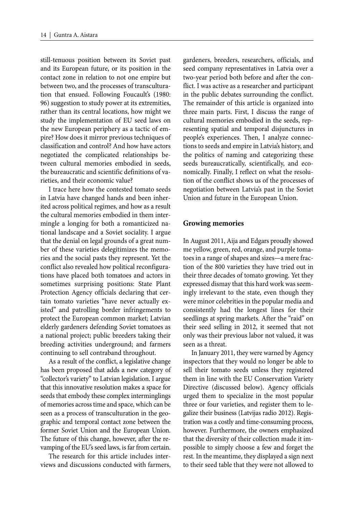still-tenuous position between its Soviet past and its European future, or its position in the contact zone in relation to not one empire but between two, and the processes of transculturation that ensued. Following Foucault's (1980: 96) suggestion to study power at its extremities, rather than its central locations, how might we study the implementation of EU seed laws on the new European periphery as a tactic of empire? How does it mirror previous techniques of classification and control? And how have actors negotiated the complicated relationships between cultural memories embodied in seeds, the bureaucratic and scientific definitions of varieties, and their economic value?

I trace here how the contested tomato seeds in Latvia have changed hands and been inherited across political regimes, and how as a result the cultural memories embodied in them intermingle a longing for both a romanticized national landscape and a Soviet sociality. I argue that the denial on legal grounds of a great number of these varieties delegitimizes the memories and the social pasts they represent. Yet the conflict also revealed how political reconfigurations have placed both tomatoes and actors in sometimes surprising positions: State Plant Protection Agency officials declaring that certain tomato varieties "have never actually existed" and patrolling border infringements to protect the European common market; Latvian elderly gardeners defending Soviet tomatoes as a national project; public breeders taking their breeding activities underground; and farmers continuing to sell contraband throughout.

As a result of the conflict, a legislative change has been proposed that adds a new category of "collector's variety" to Latvian legislation. I argue that this innovative resolution makes a space for seeds that embody these complex interminglings of memories across time and space, which can be seen as a process of transculturation in the geographic and temporal contact zone between the former Soviet Union and the European Union. The future of this change, however, after the revamping of the EU's seed laws, is far from certain.

The research for this article includes interviews and discussions conducted with farmers, gardeners, breeders, researchers, officials, and seed company representatives in Latvia over a two-year period both before and after the conflict. I was active as a researcher and participant in the public debates surrounding the conflict. The remainder of this article is organized into three main parts. First, I discuss the range of cultural memories embodied in the seeds, representing spatial and temporal disjunctures in people's experiences. Then, I analyze connections to seeds and empire in Latvia's history, and the politics of naming and categorizing these seeds bureaucratically, scientifically, and economically. Finally, I reflect on what the resolution of the conflict shows us of the processes of negotiation between Latvia's past in the Soviet Union and future in the European Union.

#### **Growing memories**

In August 2011, Aija and Edgars proudly showed me yellow, green, red, orange, and purple tomatoes in a range of shapes and sizes—a mere fraction of the 800 varieties they have tried out in their three decades of tomato growing. Yet they expressed dismay that this hard work was seemingly irrelevant to the state, even though they were minor celebrities in the popular media and consistently had the longest lines for their seedlings at spring markets. After the "raid" on their seed selling in 2012, it seemed that not only was their previous labor not valued, it was seen as a threat.

In January 2011, they were warned by Agency inspectors that they would no longer be able to sell their tomato seeds unless they registered them in line with the EU Conservation Variety Directive (discussed below). Agency officials urged them to specialize in the most popular three or four varieties, and register them to legalize their business (Latvijas radio 2012). Registration was a costly and time-consuming process, however. Furthermore, the owners emphasized that the diversity of their collection made it impossible to simply choose a few and forget the rest. In the meantime, they displayed a sign next to their seed table that they were not allowed to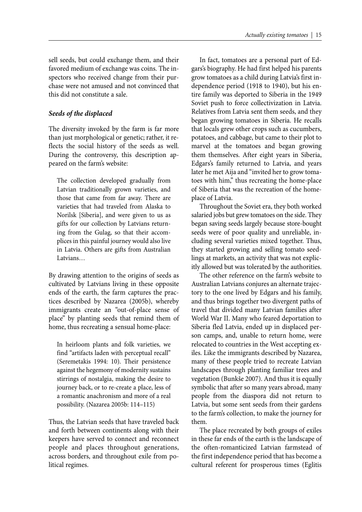sell seeds, but could exchange them, and their favored medium of exchange was coins. The inspectors who received change from their purchase were not amused and not convinced that this did not constitute a sale.

## *Seeds of the displaced*

The diversity invoked by the farm is far more than just morphological or genetic; rather, it reflects the social history of the seeds as well. During the controversy, this description appeared on the farm's website:

The collection developed gradually from Latvian traditionally grown varieties, and those that came from far away. There are varieties that had traveled from Alaska to Norilsk [Siberia], and were given to us as gifts for our collection by Latvians returning from the Gulag, so that their accomplices in this painful journey would also live in Latvia. Others are gifts from Australian Latvians…

By drawing attention to the origins of seeds as cultivated by Latvians living in these opposite ends of the earth, the farm captures the practices described by Nazarea (2005b), whereby immigrants create an "out-of-place sense of place" by planting seeds that remind them of home, thus recreating a sensual home-place:

In heirloom plants and folk varieties, we find "artifacts laden with perceptual recall" (Seremetakis 1994: 10). Their persistence against the hegemony of modernity sustains stirrings of nostalgia, making the desire to journey back, or to re-create a place, less of a romantic anachronism and more of a real possibility. (Nazarea 2005b: 114–115)

Thus, the Latvian seeds that have traveled back and forth between continents along with their keepers have served to connect and reconnect people and places throughout generations, across borders, and throughout exile from political regimes.

In fact, tomatoes are a personal part of Edgars's biography. He had first helped his parents grow tomatoes as a child during Latvia's first independence period (1918 to 1940), but his entire family was deported to Siberia in the 1949 Soviet push to force collectivization in Latvia. Relatives from Latvia sent them seeds, and they began growing tomatoes in Siberia. He recalls that locals grew other crops such as cucumbers, potatoes, and cabbage, but came to their plot to marvel at the tomatoes and began growing them themselves. After eight years in Siberia, Edgars's family returned to Latvia, and years later he met Aija and "invited her to grow tomatoes with him," thus recreating the home-place of Siberia that was the recreation of the homeplace of Latvia.

Throughout the Soviet era, they both worked salaried jobs but grew tomatoes on the side. They began saving seeds largely because store-bought seeds were of poor quality and unreliable, including several varieties mixed together. Thus, they started growing and selling tomato seed lings at markets, an activity that was not explicitly allowed but was tolerated by the authorities.

The other reference on the farm's website to Australian Latvians conjures an alternate trajectory to the one lived by Edgars and his family, and thus brings together two divergent paths of travel that divided many Latvian families after World War II. Many who feared deportation to Siberia fled Latvia, ended up in displaced person camps, and, unable to return home, were relocated to countries in the West accepting exiles. Like the immigrants described by Nazarea, many of these people tried to recreate Latvian landscapes through planting familiar trees and vegetation (Bunkše 2007). And thus it is equally symbolic that after so many years abroad, many people from the diaspora did not return to Latvia, but some sent seeds from their gardens to the farm's collection, to make the journey for them.

The place recreated by both groups of exiles in these far ends of the earth is the landscape of the often-romanticized Latvian farmstead of the first independence period that has become a cultural referent for prosperous times (Eglitis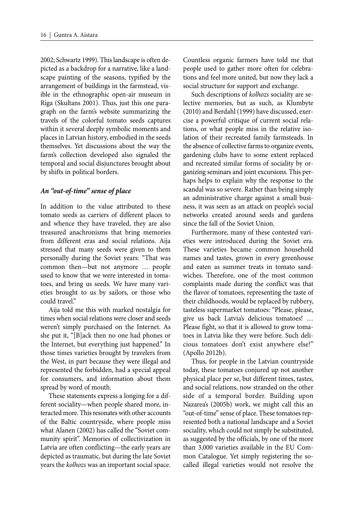2002; Schwartz 1999). This landscape is often de picted as a backdrop for a narrative, like a land scape painting of the seasons, typified by the arrangement of buildings in the farmstead, visible in the ethnographic open-air museum in Riga (Skultans 2001). Thus, just this one paragraph on the farm's website summarizing the travels of the colorful tomato seeds captures within it several deeply symbolic moments and places in Latvian history, embodied in the seeds themselves. Yet discussions about the way the farm's collection developed also signaled the temporal and social disjunctures brought about by shifts in political borders.

## *An "out-of-time" sense of place*

In addition to the value attributed to these tomato seeds as carriers of different places to and whence they have traveled, they are also treasured anachronisms that bring memories from different eras and social relations. Aija stressed that many seeds were given to them personally during the Soviet years: "That was common then—but not anymore … people used to know that we were interested in tomatoes, and bring us seeds. We have many varieties brought to us by sailors, or those who could travel."

Aija told me this with marked nostalgia for times when social relations were closer and seeds weren't simply purchased on the Internet. As she put it, "[B]ack then no one had phones or the Internet, but everything just happened." In those times varieties brought by travelers from the West, in part because they were illegal and represented the forbidden, had a special appeal for consumers, and information about them spread by word of mouth.

These statements express a longing for a different sociality—when people shared more, interacted more. This resonates with other accounts of the Baltic countryside, where people miss what Alanen (2002) has called the "Soviet community spirit". Memories of collectivization in Latvia are often conflicting—the early years are depicted as traumatic, but during the late Soviet years the *kolhozs* was an important social space. Countless organic farmers have told me that people used to gather more often for celebrations and feel more united, but now they lack a social structure for support and exchange.

Such descriptions of *kolhozs* sociality are selective memories, but as such, as Klumbyte (2010) and Berdahl (1999) have discussed, exercise a powerful critique of current social relations, or what people miss in the relative isolation of their recreated family farmsteads. In the absence of collective farms to organize events, gardening clubs have to some extent replaced and recreated similar forms of sociality by organizing seminars and joint excursions. This perhaps helps to explain why the response to the scandal was so severe. Rather than being simply an administrative charge against a small business, it was seen as an attack on people's social networks created around seeds and gardens since the fall of the Soviet Union.

Furthermore, many of these contested varieties were introduced during the Soviet era. These varieties became common household names and tastes, grown in every greenhouse and eaten as summer treats in tomato sandwiches. Therefore, one of the most common complaints made during the conflict was that the flavor of tomatoes, representing the taste of their childhoods, would be replaced by rubbery, tasteless supermarket tomatoes: "Please, please, give us back Latvia's delicious tomatoes! … Please fight, so that it is allowed to grow tomatoes in Latvia like they were before. Such delicious tomatoes don't exist anywhere else!" (Apollo 2012b).

Thus, for people in the Latvian countryside today, these tomatoes conjured up not another physical place per se, but different times, tastes, and social relations, now stranded on the other side of a temporal border. Building upon Nazarea's (2005b) work, we might call this an "out-of-time" sense of place. These tomatoes represented both a national landscape and a Soviet sociality, which could not simply be substituted, as suggested by the officials, by one of the more than 3,000 varieties available in the EU Common Catalogue. Yet simply registering the socalled illegal varieties would not resolve the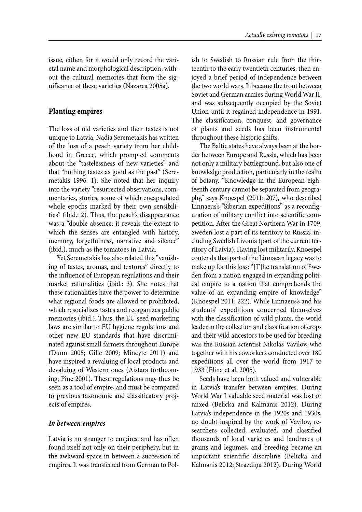issue, either, for it would only record the varietal name and morphological description, without the cultural memories that form the significance of these varieties (Nazarea 2005a).

## **Planting empires**

The loss of old varieties and their tastes is not unique to Latvia. Nadia Seremetakis has written of the loss of a peach variety from her childhood in Greece, which prompted comments about the "tastelessness of new varieties" and that "nothing tastes as good as the past" (Sere me takis 1996: 1). She noted that her inquiry into the variety "resurrected observations, commentaries, stories, some of which encapsulated whole epochs marked by their own sensibilities" (ibid.: 2). Thus, the peach's disappearance was a "double absence; it reveals the extent to which the senses are entangled with history, memory, forgetfulness, narrative and silence" (ibid.), much as the tomatoes in Latvia.

Yet Seremetakis has also related this "vanishing of tastes, aromas, and textures" directly to the influence of European regulations and their market rationalities (ibid.: 3). She notes that these rationalities have the power to determine what regional foods are allowed or prohibited, which resocializes tastes and reorganizes public memories (ibid.). Thus, the EU seed marketing laws are similar to EU hygiene regulations and other new EU standards that have discriminated against small farmers throughout Europe (Dunn 2005; Gille 2009; Mincyte 2011) and have inspired a revaluing of local products and devaluing of Western ones (Aistara forthcoming; Pine 2001). These regulations may thus be seen as a tool of empire, and must be compared to previous taxonomic and classificatory projects of empires.

## *In between empires*

Latvia is no stranger to empires, and has often found itself not only on their periphery, but in the awkward space in between a succession of empires. It was transferred from German to Polish to Swedish to Russian rule from the thirteenth to the early twentieth centuries, then enjoyed a brief period of independence between the two world wars. It became the front between Soviet and German armies during World War II, and was subsequently occupied by the Soviet Union until it regained independence in 1991. The classification, conquest, and governance of plants and seeds has been instrumental throughout these historic shifts.

The Baltic states have always been at the border between Europe and Russia, which has been not only a military battleground, but also one of knowledge production, particularly in the realm of botany. "Knowledge in the European eighteenth century cannot be separated from geography," says Knoespel (2011: 207), who described Linnaeus's "Siberian expeditions" as a reconfiguration of military conflict into scientific competition. After the Great Northern War in 1709, Sweden lost a part of its territory to Russia, including Swedish Livonia (part of the current territory of Latvia). Having lost militarily, Knoespel contends that part of the Linnaean legacy was to make up for this loss: "[T]he translation of Sweden from a nation engaged in expanding political empire to a nation that comprehends the value of an expanding empire of knowledge" (Knoespel 2011: 222). While Linnaeus's and his students' expeditions concerned themselves with the classification of wild plants, the world leader in the collection and classification of crops and their wild ancestors to be used for breeding was the Russian scientist Nikolas Vavilov, who together with his coworkers conducted over 180 expeditions all over the world from 1917 to 1933 (Elina et al. 2005).

Seeds have been both valued and vulnerable in Latvia's transfer between empires. During World War I valuable seed material was lost or mixed (Belicka and Kalmanis 2012). During Latvia's independence in the 1920s and 1930s, no doubt inspired by the work of Vavilov, researchers collected, evaluated, and classified thousands of local varieties and landraces of grains and legumes, and breeding became an important scientific discipline (Belicka and Kalmanis 2012; Strazdiņa 2012). During World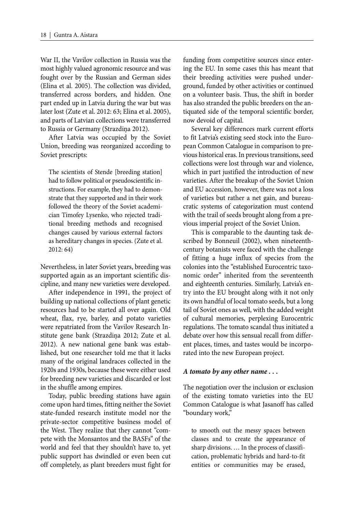War II, the Vavilov collection in Russia was the most highly valued agronomic resource and was fought over by the Russian and German sides (Elina et al. 2005). The collection was divided, transferred across borders, and hidden. One part ended up in Latvia during the war but was later lost (Zute et al. 2012: 63; Elina et al. 2005), and parts of Latvian collections were transferred to Russia or Germany (Strazdiņa 2012).

After Latvia was occupied by the Soviet Union, breeding was reorganized according to Soviet prescripts:

The scientists of Stende [breeding station] had to follow political or pseudoscientific instructions. For example, they had to demonstrate that they supported and in their work followed the theory of the Soviet academician Timofey Lysenko, who rejected traditional breeding methods and recognised changes caused by various external factors as hereditary changes in species. (Zute et al. 2012: 64)

Nevertheless, in later Soviet years, breeding was supported again as an important scientific discipline, and many new varieties were developed.

After independence in 1991, the project of building up national collections of plant genetic resources had to be started all over again. Old wheat, flax, rye, barley, and potato varieties were repatriated from the Vavilov Research Institute gene bank (Strazdiņa 2012; Zute et al. 2012). A new national gene bank was established, but one researcher told me that it lacks many of the original landraces collected in the 1920s and 1930s, because these were either used for breeding new varieties and discarded or lost in the shuffle among empires.

Today, public breeding stations have again come upon hard times, fitting neither the Soviet state-funded research institute model nor the private-sector competitive business model of the West. They realize that they cannot "compete with the Monsantos and the BASFs" of the world and feel that they shouldn't have to, yet public support has dwindled or even been cut off completely, as plant breeders must fight for

funding from competitive sources since entering the EU. In some cases this has meant that their breeding activities were pushed underground, funded by other activities or continued on a volunteer basis. Thus, the shift in border has also stranded the public breeders on the antiquated side of the temporal scientific border, now devoid of capital.

Several key differences mark current efforts to fit Latvia's existing seed stock into the European Common Catalogue in comparison to previous historical eras. In previous transitions, seed collections were lost through war and violence, which in part justified the introduction of new varieties. After the breakup of the Soviet Union and EU accession, however, there was not a loss of varieties but rather a net gain, and bureaucratic systems of categorization must contend with the trail of seeds brought along from a previous imperial project of the Soviet Union.

This is comparable to the daunting task described by Bonneuil (2002), when nineteenthcentury botanists were faced with the challenge of fitting a huge influx of species from the colonies into the "established Eurocentric taxonomic order" inherited from the seventeenth and eighteenth centuries. Similarly, Latvia's entry into the EU brought along with it not only its own handful of local tomato seeds, but a long tail of Soviet ones as well, with the added weight of cultural memories, perplexing Eurocentric regulations. The tomato scandal thus initiated a debate over how this sensual recall from different places, times, and tastes would be incorporated into the new European project.

#### *A tomato by any other name . . .*

The negotiation over the inclusion or exclusion of the existing tomato varieties into the EU Common Catalogue is what Jasanoff has called "boundary work,"

to smooth out the messy spaces between classes and to create the appearance of sharp divisions. … In the process of classification, problematic hybrids and hard-to-fit entities or communities may be erased,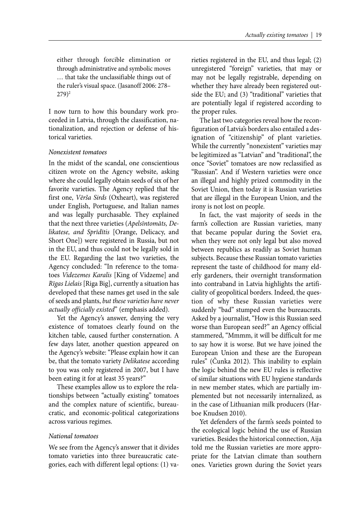either through forcible elimination or through administrative and symbolic moves … that take the unclassifiable things out of the ruler's visual space. (Jasanoff 2006: 278–  $(279)^2$ 

I now turn to how this boundary work proceeded in Latvia, through the classification, nationalization, and rejection or defense of historical varieties.

#### *Nonexistent tomatoes*

In the midst of the scandal, one conscientious citizen wrote on the Agency website, asking where she could legally obtain seeds of six of her favorite varieties. The Agency replied that the first one, *V*ē*r*š*a Sirds* (Oxheart), was registered under English, Portuguese, and Italian names and was legally purchasable. They explained that the next three varieties (*Apels*ī*ntom*ā*ts, Delikatese, and Spr*ī*d*ī*tis* [Orange, Delicacy, and Short One]) were registered in Russia, but not in the EU, and thus could not be legally sold in the EU. Regarding the last two varieties, the Agency concluded: "In reference to the tomatoes *Videzemes Karalis* [King of Vidzeme] and *R*ī*gas Lielais* [Riga Big], currently a situation has developed that these names get used in the sale of seeds and plants, *but these varieties have never actually officially existed*" (emphasis added).

Yet the Agency's answer, denying the very existence of tomatoes clearly found on the kitchen table, caused further consternation. A few days later, another question appeared on the Agency's website: "Please explain how it can be, that the tomato variety *Delikatese* according to you was only registered in 2007, but I have been eating it for at least 35 years?"

These examples allow us to explore the relationships between "actually existing" tomatoes and the complex nature of scientific, bureaucratic, and economic-political categorizations across various regimes.

#### *National tomatoes*

We see from the Agency's answer that it divides tomato varieties into three bureaucratic categories, each with different legal options: (1) varieties registered in the EU, and thus legal; (2) unregistered "foreign" varieties, that may or may not be legally registrable, depending on whether they have already been registered outside the EU; and (3) "traditional" varieties that are potentially legal if registered according to the proper rules.

The last two categories reveal how the reconfiguration of Latvia's borders also entailed a designation of "citizenship" of plant varieties. While the currently "nonexistent" varieties may be legitimized as "Latvian" and "traditional", the once "Soviet" tomatoes are now reclassified as "Russian". And if Western varieties were once an illegal and highly prized commodity in the Soviet Union, then today it is Russian varieties that are illegal in the European Union, and the irony is not lost on people.

In fact, the vast majority of seeds in the farm's collection are Russian varieties, many that became popular during the Soviet era, when they were not only legal but also moved between republics as readily as Soviet human subjects. Because these Russian tomato varieties represent the taste of childhood for many elderly gardeners, their overnight transformation into contraband in Latvia highlights the artificiality of geopolitical borders. Indeed, the question of why these Russian varieties were suddenly "bad" stumped even the bureaucrats. Asked by a journalist, "How is this Russian seed worse than European seed?" an Agency official stammered, "Mmmm, it will be difficult for me to say how it is worse. But we have joined the European Union and these are the European rules" (Čunka 2012). This inability to explain the logic behind the new EU rules is reflective of similar situations with EU hygiene standards in new member states, which are partially implemented but not necessarily internalized, as in the case of Lithuanian milk producers (Harboe Knudsen 2010).

Yet defenders of the farm's seeds pointed to the ecological logic behind the use of Russian varieties. Besides the historical connection, Aija told me the Russian varieties are more appropriate for the Latvian climate than southern ones. Varieties grown during the Soviet years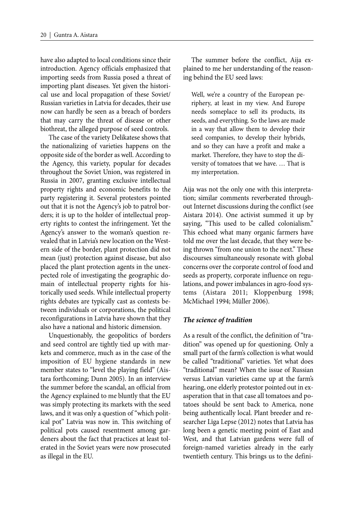have also adapted to local conditions since their introduction. Agency officials emphasized that importing seeds from Russia posed a threat of importing plant diseases. Yet given the historical use and local propagation of these Soviet/ Russian varieties in Latvia for decades, their use now can hardly be seen as a breach of borders that may carry the threat of disease or other biothreat, the alleged purpose of seed controls.

The case of the variety Delikatese shows that the nationalizing of varieties happens on the opposite side of the border as well. According to the Agency, this variety, popular for decades throughout the Soviet Union, was registered in Russia in 2007, granting exclusive intellectual property rights and economic benefits to the party registering it. Several protestors pointed out that it is not the Agency's job to patrol borders; it is up to the holder of intellectual property rights to contest the infringement. Yet the Agency's answer to the woman's question revealed that in Latvia's new location on the Western side of the border, plant protection did not mean (just) protection against disease, but also placed the plant protection agents in the unexpected role of investigating the geographic domain of intellectual property rights for historically used seeds. While intellectual property rights debates are typically cast as contests between individuals or corporations, the political reconfigurations in Latvia have shown that they also have a national and historic dimension.

Unquestionably, the geopolitics of borders and seed control are tightly tied up with markets and commerce, much as in the case of the imposition of EU hygiene standards in new member states to "level the playing field" (Aistara forthcoming; Dunn 2005). In an interview the summer before the scandal, an official from the Agency explained to me bluntly that the EU was simply protecting its markets with the seed laws, and it was only a question of "which political pot" Latvia was now in. This switching of political pots caused resentment among gardeners about the fact that practices at least tolerated in the Soviet years were now prosecuted as illegal in the EU.

The summer before the conflict, Aija explained to me her understanding of the reasoning behind the EU seed laws:

Well, we're a country of the European periphery, at least in my view. And Europe needs someplace to sell its products, its seeds, and everything. So the laws are made in a way that allow them to develop their seed companies, to develop their hybrids, and so they can have a profit and make a market. Therefore, they have to stop the diversity of tomatoes that we have. … That is my interpretation.

Aija was not the only one with this interpretation; similar comments reverberated throughout Internet discussions during the conflict (see Aistara 2014). One activist summed it up by saying, "This used to be called colonialism." This echoed what many organic farmers have told me over the last decade, that they were being thrown "from one union to the next." These discourses simultaneously resonate with global concerns over the corporate control of food and seeds as property, corporate influence on regulations, and power imbalances in agro-food systems (Aistara 2011; Kloppenburg 1998; McMichael 1994; Müller 2006).

### *The science of tradition*

As a result of the conflict, the definition of "tradition" was opened up for questioning. Only a small part of the farm's collection is what would be called "traditional" varieties. Yet what does "traditional" mean? When the issue of Russian versus Latvian varieties came up at the farm's hearing, one elderly protestor pointed out in exasperation that in that case all tomatoes and potatoes should be sent back to America, none being authentically local. Plant breeder and researcher Līga Lepse (2012) notes that Latvia has long been a genetic meeting point of East and West, and that Latvian gardens were full of foreign-named varieties already in the early twentieth century. This brings us to the defini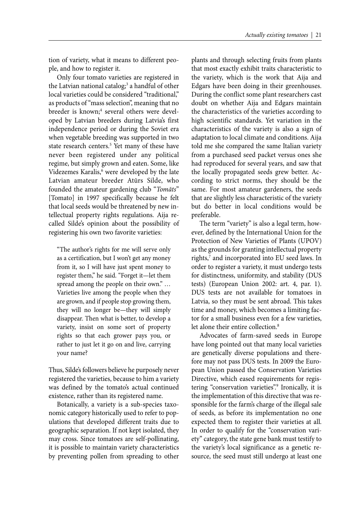tion of variety, what it means to different people, and how to register it.

Only four tomato varieties are registered in the Latvian national catalog; $3$  a handful of other local varieties could be considered "traditional," as products of "mass selection", meaning that no breeder is known;<sup>4</sup> several others were developed by Latvian breeders during Latvia's first independence period or during the Soviet era when vegetable breeding was supported in two state research centers.<sup>5</sup> Yet many of these have never been registered under any political regime, but simply grown and eaten. Some, like Videzemes Karalis,<sup>6</sup> were developed by the late Latvian amateur breeder Atūrs Silde, who founded the amateur gardening club "*Tom*ā*ts*" [Tomato] in 1997 specifically because he felt that local seeds would be threatened by new intellectual property rights regulations. Aija recalled Silde's opinion about the possibility of registering his own two favorite varieties:

"The author's rights for me will serve only as a certification, but I won't get any money from it, so I will have just spent money to register them," he said. "Forget it—let them spread among the people on their own." … Varieties live among the people when they are grown, and if people stop growing them, they will no longer be—they will simply disappear. Then what is better, to develop a variety, insist on some sort of property rights so that each grower pays you, or rather to just let it go on and live, carrying your name?

Thus, Silde's followers believe he purposely never registered the varieties, because to him a variety was defined by the tomato's actual continued existence, rather than its registered name.

Botanically, a variety is a sub-species taxonomic category historically used to refer to populations that developed different traits due to geographic separation. If not kept isolated, they may cross. Since tomatoes are self-pollinating, it is possible to maintain variety characteristics by preventing pollen from spreading to other

plants and through selecting fruits from plants that most exactly exhibit traits characteristic to the variety, which is the work that Aija and Edgars have been doing in their greenhouses. During the conflict some plant researchers cast doubt on whether Aija and Edgars maintain the characteristics of the varieties according to high scientific standards. Yet variation in the characteristics of the variety is also a sign of adaptation to local climate and conditions. Aija told me she compared the same Italian variety from a purchased seed packet versus ones she had reproduced for several years, and saw that the locally propagated seeds grew better. According to strict norms, they should be the same. For most amateur gardeners, the seeds that are slightly less characteristic of the variety but do better in local conditions would be preferable.

The term "variety" is also a legal term, however, defined by the International Union for the Protection of New Varieties of Plants (UPOV) as the grounds for granting intellectual property rights,7 and incorporated into EU seed laws. In order to register a variety, it must undergo tests for distinctness, uniformity, and stability (DUS tests) (European Union 2002: art. 4, par. 1). DUS tests are not available for tomatoes in Latvia, so they must be sent abroad. This takes time and money, which becomes a limiting factor for a small business even for a few varieties, let alone their entire collection.<sup>8</sup>

Advocates of farm-saved seeds in Europe have long pointed out that many local varieties are genetically diverse populations and therefore may not pass DUS tests. In 2009 the European Union passed the Conservation Varieties Directive, which eased requirements for registering "conservation varieties".9 Ironically, it is the implementation of this directive that was responsible for the farm's charge of the illegal sale of seeds, as before its implementation no one expected them to register their varieties at all. In order to qualify for the "conservation variety" category, the state gene bank must testify to the variety's local significance as a genetic resource, the seed must still undergo at least one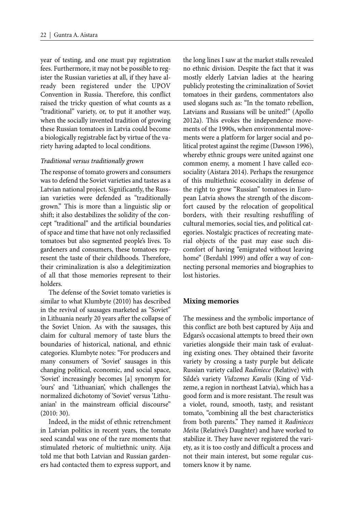year of testing, and one must pay registration fees. Furthermore, it may not be possible to register the Russian varieties at all, if they have already been registered under the UPOV Convention in Russia. Therefore, this conflict raised the tricky question of what counts as a "traditional" variety, or, to put it another way, when the socially invented tradition of growing these Russian tomatoes in Latvia could become a biologically registrable fact by virtue of the variety having adapted to local conditions.

## *Traditional versus traditionally grown*

The response of tomato growers and consumers was to defend the Soviet varieties and tastes as a Latvian national project. Significantly, the Russian varieties were defended as "traditionally grown." This is more than a linguistic slip or shift; it also destabilizes the solidity of the concept "traditional" and the artificial boundaries of space and time that have not only reclassified tomatoes but also segmented people's lives. To gardeners and consumers, these tomatoes represent the taste of their childhoods. Therefore, their criminalization is also a delegitimization of all that those memories represent to their holders.

The defense of the Soviet tomato varieties is similar to what Klumbyte (2010) has described in the revival of sausages marketed as "Soviet" in Lithuania nearly 20 years after the collapse of the Soviet Union. As with the sausages, this claim for cultural memory of taste blurs the boundaries of historical, national, and ethnic categories. Klumbyte notes: "For producers and many consumers of 'Soviet' sausages in this changing political, economic, and social space, 'Soviet' increasingly becomes [a] synonym for 'ours' and 'Lithuanian', which challenges the normalized dichotomy of 'Soviet' versus 'Lithuanian' in the mainstream official discourse" (2010: 30).

Indeed, in the midst of ethnic retrenchment in Latvian politics in recent years, the tomato seed scandal was one of the rare moments that stimulated rhetoric of multiethnic unity. Aija told me that both Latvian and Russian gardeners had contacted them to express support, and

the long lines I saw at the market stalls revealed no ethnic division. Despite the fact that it was mostly elderly Latvian ladies at the hearing publicly protesting the criminalization of Soviet tomatoes in their gardens, commentators also used slogans such as: "In the tomato rebellion, Latvians and Russians will be united!" (Apollo 2012a). This evokes the independence movements of the 1990s, when environmental movements were a platform for larger social and political protest against the regime (Dawson 1996), whereby ethnic groups were united against one common enemy, a moment I have called ecosociality (Aistara 2014). Perhaps the resurgence of this multiethnic ecosociality in defense of the right to grow "Russian" tomatoes in European Latvia shows the strength of the discomfort caused by the relocation of geopolitical borders, with their resulting reshuffling of cultural memories, social ties, and political categories. Nostalgic practices of recreating material objects of the past may ease such discomfort of having "emigrated without leaving home" (Berdahl 1999) and offer a way of connecting personal memories and biographies to lost histories.

## **Mixing memories**

The messiness and the symbolic importance of this conflict are both best captured by Aija and Edgars's occasional attempts to breed their own varieties alongside their main task of evaluating existing ones. They obtained their favorite variety by crossing a tasty purple but delicate Russian variety called *Radiniece* (Relative) with Silde's variety *Vidzemes Karalis* (King of Vidzeme, a region in northeast Latvia), which has a good form and is more resistant. The result was a violet, round, smooth, tasty, and resistant tomato, "combining all the best characteristics from both parents." They named it *Radinieces Meita* (Relative's Daughter) and have worked to stabilize it. They have never registered the variety, as it is too costly and difficult a process and not their main interest, but some regular customers know it by name.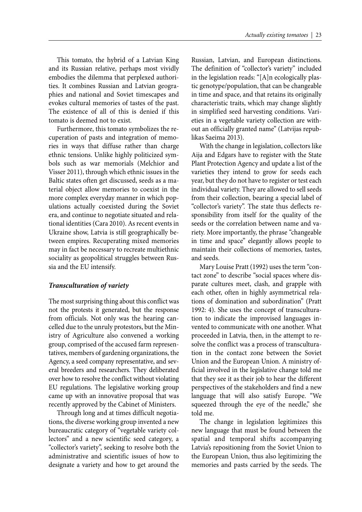This tomato, the hybrid of a Latvian King and its Russian relative, perhaps most vividly embodies the dilemma that perplexed authorities. It combines Russian and Latvian geographies and national and Soviet timescapes and evokes cultural memories of tastes of the past. The existence of all of this is denied if this tomato is deemed not to exist.

Furthermore, this tomato symbolizes the recuperation of pasts and integration of memories in ways that diffuse rather than charge ethnic tensions. Unlike highly politicized symbols such as war memorials (Melchior and Visser 2011), through which ethnic issues in the Baltic states often get discussed, seeds as a material object allow memories to coexist in the more complex everyday manner in which populations actually coexisted during the Soviet era, and continue to negotiate situated and relational identities (Cara 2010). As recent events in Ukraine show, Latvia is still geographically between empires. Recuperating mixed memories may in fact be necessary to recreate multiethnic sociality as geopolitical struggles between Russia and the EU intensify.

## *Transculturation of variety*

The most surprising thing about this conflict was not the protests it generated, but the response from officials. Not only was the hearing cancelled due to the unruly protestors, but the Ministry of Agriculture also convened a working group, comprised of the accused farm representatives, members of gardening organizations, the Agency, a seed company representative, and several breeders and researchers. They deliberated over how to resolve the conflict without violating EU regulations. The legislative working group came up with an innovative proposal that was recently approved by the Cabinet of Ministers.

Through long and at times difficult negotiations, the diverse working group invented a new bureaucratic category of "vegetable variety collectors" and a new scientific seed category, a "collector's variety", seeking to resolve both the administrative and scientific issues of how to designate a variety and how to get around the Russian, Latvian, and European distinctions. The definition of "collector's variety" included in the legislation reads: "[A]n ecologically plastic genotype/population, that can be changeable in time and space, and that retains its originally characteristic traits, which may change slightly in simplified seed harvesting conditions. Varieties in a vegetable variety collection are without an officially granted name" (Latvijas republikas Saeima 2013).

With the change in legislation, collectors like Aija and Edgars have to register with the State Plant Protection Agency and update a list of the varieties they intend to grow for seeds each year, but they do not have to register or test each individual variety. They are allowed to sell seeds from their collection, bearing a special label of "collector's variety". The state thus deflects responsibility from itself for the quality of the seeds or the correlation between name and variety. More importantly, the phrase "changeable in time and space" elegantly allows people to maintain their collections of memories, tastes, and seeds.

Mary Louise Pratt (1992) uses the term "contact zone" to describe "social spaces where disparate cultures meet, clash, and grapple with each other, often in highly asymmetrical relations of domination and subordination" (Pratt 1992: 4). She uses the concept of transculturation to indicate the improvised languages invented to communicate with one another. What proceeded in Latvia, then, in the attempt to resolve the conflict was a process of transculturation in the contact zone between the Soviet Union and the European Union. A ministry official involved in the legislative change told me that they see it as their job to hear the different perspectives of the stakeholders and find a new language that will also satisfy Europe. "We squeezed through the eye of the needle," she told me.

The change in legislation legitimizes this new language that must be found between the spatial and temporal shifts accompanying Latvia's repositioning from the Soviet Union to the European Union, thus also legitimizing the memories and pasts carried by the seeds. The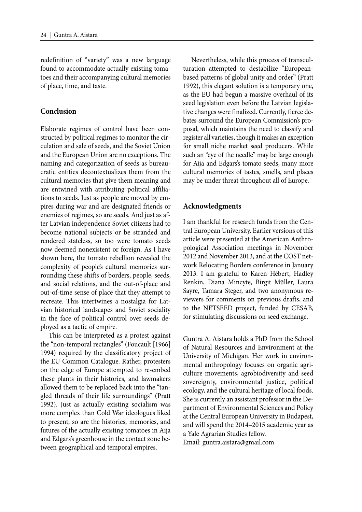redefinition of "variety" was a new language found to accommodate actually existing tomatoes and their accompanying cultural memories of place, time, and taste.

## **Conclusion**

Elaborate regimes of control have been constructed by political regimes to monitor the circulation and sale of seeds, and the Soviet Union and the European Union are no exceptions. The naming and categorization of seeds as bureaucratic entities decontextualizes them from the cultural memories that give them meaning and are entwined with attributing political affiliations to seeds. Just as people are moved by empires during war and are designated friends or enemies of regimes, so are seeds. And just as after Latvian independence Soviet citizens had to become national subjects or be stranded and rendered stateless, so too were tomato seeds now deemed nonexistent or foreign. As I have shown here, the tomato rebellion revealed the complexity of people's cultural memories surrounding these shifts of borders, people, seeds, and social relations, and the out-of-place and out-of-time sense of place that they attempt to recreate. This intertwines a nostalgia for Latvian historical landscapes and Soviet sociality in the face of political control over seeds deployed as a tactic of empire.

This can be interpreted as a protest against the "non-temporal rectangles" (Foucault [1966] 1994) required by the classificatory project of the EU Common Catalogue. Rather, protesters on the edge of Europe attempted to re-embed these plants in their histories, and lawmakers allowed them to be replaced back into the "tangled threads of their life surroundings" (Pratt 1992). Just as actually existing socialism was more complex than Cold War ideologues liked to present, so are the histories, memories, and futures of the actually existing tomatoes in Aija and Edgars's greenhouse in the contact zone between geographical and temporal empires.

Nevertheless, while this process of transculturation attempted to destabilize "Europeanbased patterns of global unity and order" (Pratt 1992), this elegant solution is a temporary one, as the EU had begun a massive overhaul of its seed legislation even before the Latvian legislative changes were finalized. Currently, fierce debates surround the European Commission's proposal, which maintains the need to classify and register all varieties, though it makes an exception for small niche market seed producers. While such an "eye of the needle" may be large enough for Aija and Edgars's tomato seeds, many more cultural memories of tastes, smells, and places may be under threat throughout all of Europe.

## **Acknowledgments**

I am thankful for research funds from the Central European University. Earlier versions of this article were presented at the American Anthropological Association meetings in November 2012 and November 2013, and at the COST network Relocating Borders conference in January 2013. I am grateful to Karen Hébert, Hadley Renkin, Diana Mincyte, Birgit Müller, Laura Sayre, Tamara Steger, and two anonymous reviewers for comments on previous drafts, and to the NETSEED project, funded by CESAB, for stimulating discussions on seed exchange.

Guntra A. Aistara holds a PhD from the School of Natural Resources and Environment at the University of Michigan. Her work in environmental anthropology focuses on organic agriculture movements, agrobiodiversity and seed sovereignty, environmental justice, political ecology, and the cultural heritage of local foods. She is currently an assistant professor in the Department of Environmental Sciences and Policy at the Central European University in Budapest, and will spend the 2014–2015 academic year as a Yale Agrarian Studies fellow. Email: guntra.aistara@gmail.com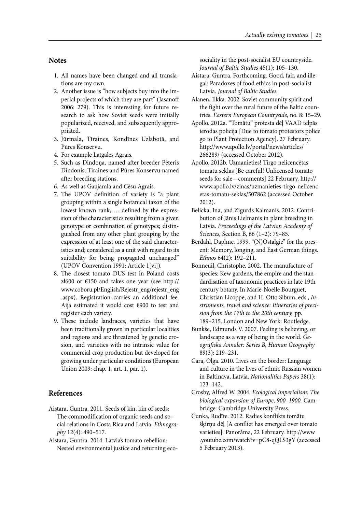#### **Notes**

- 1. All names have been changed and all translations are my own.
- 2. Another issue is "how subjects buy into the imperial projects of which they are part" (Jasanoff 2006: 279). This is interesting for future research to ask how Soviet seeds were initially popularized, received, and subsequently appropriated.
- 3. Jūrmala, Tīraines, Kondīnes Uzlabotā, and Pūres Konservu.
- 4. For example Latgales Agrais.
- 5. Such as Dindoņa, named after breeder Pēteris Dindonis; Tīraines and Pūres Konservu named after breeding stations.
- 6. As well as Gaujamla and Cēsu Agrais.
- 7. The UPOV definition of variety is "a plant grouping within a single botanical taxon of the lowest known rank, … defined by the expression of the characteristics resulting from a given genotype or combination of genotypes; distinguished from any other plant grouping by the expression of at least one of the said characteristics and; considered as a unit with regard to its suitability for being propagated unchanged" (UPOV Convention 1991: Article 1[vi]).
- 8. The closest tomato DUS test in Poland costs zł $600$  or  $£150$  and takes one year (see http:// www.coboru.pl/English/Rejestr\_eng/rejestr\_eng .aspx). Registration carries an additional fee. Aija estimated it would cost €900 to test and register each variety.
- 9. These include landraces, varieties that have been traditionally grown in particular localities and regions and are threatened by genetic erosion, and varieties with no intrinsic value for commercial crop production but developed for growing under particular conditions (European Union 2009: chap. 1, art. 1, par. 1).

# **References**

- Aistara, Guntra. 2011. Seeds of kin, kin of seeds: The commodification of organic seeds and social relations in Costa Rica and Latvia. *Ethnography* 12(4): 490–517.
- Aistara, Guntra. 2014. Latvia's tomato rebellion: Nested environmental justice and returning eco-

sociality in the post-socialist EU countryside. *Journal of Baltic Studies* 45(1): 105–130.

- Aistara, Guntra. Forthcoming. Good, fair, and illegal: Paradoxes of food ethics in post-socialist Latvia. *Journal of Baltic Studies.*
- Alanen, Ilkka. 2002. Soviet community spirit and the fight over the rural future of the Baltic countries. *Eastern European Countryside,* no. 8: 15–29.
- Apollo. 2012a. "Tomātu" protesta dēļ VAAD telpās ierodas policija [Due to tomato protestors police go to Plant Protection Agency]. 27 February. http://www.apollo.lv/portal/news/articles/ 266289/ (accessed October 2012).
- Apollo. 2012b. Uzmanieties! Tirgo nelicencētas tomātu sēklas [Be careful! Unlicensed tomato seeds for sale—comments] 22 February. http:// www.apollo.lv/zinas/uzmanieties-tirgo-nelicenc etas-tomatu-seklas/507862 (accessed October 2012).
- Belicka, Ina, and Zigurds Kalmanis. 2012. Contribution of Jānis Lielmanis in plant breeding in Latvia. *Proceedings of the Latvian Academy of Sciences,* Section B, 66 (1–2): 79–85.
- Berdahl, Daphne. 1999. "(N)Ostalgie" for the present: Memory, longing, and East German things. *Ethnos* 64(2): 192–211.
- Bonneuil, Christophe. 2002. The manufacture of species: Kew gardens, the empire and the standardisation of taxonomic practices in late 19th century botany. In Marie-Noelle Bourguet, Christian Licoppe, and H. Otto Sibum, eds., *Instruments, travel and science: Itineraries of precision from the 17th to the 20th century,* pp. 189–215. London and New York: Routledge.
- Bunkše, Edmunds V. 2007. Feeling is believing, or landscape as a way of being in the world. *Geografiska Annaler: Series B, Human Geography* 89(3): 219–231.
- Cara, Olga. 2010. Lives on the border: Language and culture in the lives of ethnic Russian women in Baltinava, Latvia. *Nationalities Papers* 38(1): 123–142.
- Crosby, Alfred W. 2004. *Ecological imperialism: The biological expansion of Europe, 900–1900.* Cambridge: Cambridge University Press.
- Čunka, Rudīte. 2012. Radies konflikts tomātu šķirņu dēļ [A conflict has emerged over tomato varieties]. Panorāma, 22 February. http://www .youtube.com/watch?v=pC8-qQLS3gY (accessed 5 February 2013).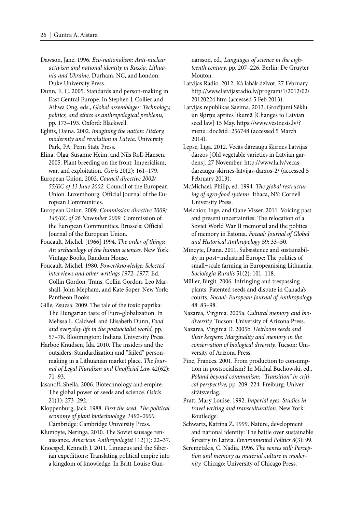- Dawson, Jane. 1996. *Eco-nationalism: Anti-nuclear activism and national identity in Russia, Lithuania and Ukraine.* Durham, NC, and London: Duke University Press.
- Dunn, E. C. 2005. Standards and person-making in East Central Europe. In Stephen J. Collier and Aihwa Ong, eds., *Global assemblages: Technology, politics, and ethics as anthropological problems,* pp. 173–193. Oxford: Blackwell.
- Eglitis, Daina. 2002. *Imagining the nation: History, modernity and revolution in Latvia.* University Park, PA: Penn State Press.
- Elina, Olga, Susanne Heim, and Nils Roll-Hansen. 2005. Plant breeding on the front: Imperialism, war, and exploitation. *Osiris* 20(2): 161–179.
- European Union. 2002. *Council directive 2002/ 55/EC of 13 June 2002.* Council of the European Union. Luxembourg: Official Journal of the European Communities.
- European Union. 2009. *Commission directive 2009/ 145/EC of 26 November 2009.* Commission of the European Communities. Brussels: Official Journal of the European Union.
- Foucault, Michel. [1966] 1994. *The order of things: An archaeology of the human sciences.* New York: Vintage Books, Random House.
- Foucault, Michel. 1980. *Power/knowledge: Selected interviews and other writings 1972–1977.* Ed. Collin Gordon. Trans. Collin Gordon, Leo Marshall, John Mepham, and Kate Soper. New York: Pantheon Books.
- Gille, Zsuzsa. 2009. The tale of the toxic paprika: The Hungarian taste of Euro-globalization. In Melissa L. Caldwell and Elisabeth Dunn, *Food and everyday life in the postsocialist world,* pp. 57–78. Bloomington: Indiana University Press.
- Harboe Knudsen, Ida. 2010. The insiders and the outsiders: Standardization and "failed" personmaking in a Lithuanian market place. *The Journal of Legal Pluralism and Unofficial Law* 42(62): 71–93.
- Jasanoff, Sheila. 2006. Biotechnology and empire: The global power of seeds and science. *Osiris* 21(1): 273–292.
- Kloppenburg, Jack. 1988. *First the seed: The political economy of plant biotechnology, 1492–2000.* Cambridge: Cambridge University Press.
- Klumbyte, Neringa. 2010. The Soviet sausage renaissance. *American Anthropologist* 112(1): 22–37.
- Knoespel, Kenneth J. 2011. Linnaeus and the Siberian expeditions: Translating political empire into a kingdom of knowledge. In Britt-Louise Gun-

narsson, ed., *Languages of science in the eighteenth century,* pp. 207–226. Berlin: De Gruyter Mouton.

- Latvijas Radio. 2012. Kā labāk dzīvot. 27 February. http://www.latvijasradio.lv/program/1/2012/02/ 20120224.htm (accessed 5 Feb 2013).
- Latvijas republikas Saeima. 2013. Grozījumi Sēklu un šķirņu aprites likumā [Changes to Latvian seed law] 15 May. https://www.vestnesis.lv/? menu=doc&id=256748 (accessed 5 March 2014).
- Lepse, Līga. 2012. Vecās dārzaugu šķirnes Latvijas dārzos [Old vegetable varieties in Latvian gardens]. 27 November. http://www.la.lv/vecasdarzaugu-skirnes-latvijas-darzos-2/ (accessed 5 February 2013).
- McMichael, Philip, ed. 1994. *The global restructuring of agro-food systems.* Ithaca, NY: Cornell University Press.
- Melchior, Inge, and Oane Visser. 2011. Voicing past and present uncertainties: The relocation of a Soviet World War II memorial and the politics of memory in Estonia. *Focaal: Journal of Global and Historical Anthropology* 59: 33–50.
- Mincyte, Diana. 2011. Subsistence and sustainability in post-industrial Europe: The politics of small-scale farming in Europeanising Lithuania. *Sociologia Ruralis* 51(2): 101–118.
- Müller, Birgit. 2006. Infringing and trespassing plants: Patented seeds and dispute in Canada's courts. *Focaal: European Journal of Anthropology* 48: 83–98.
- Nazarea, Virginia. 2005a. *Cultural memory and biodiversity.* Tucson: University of Arizona Press.
- Nazarea, Virginia D. 2005b. *Heirloom seeds and their keepers: Marginality and memory in the conservation of biological diversity.* Tucson: University of Arizona Press.
- Pine, Frances. 2001. From production to consumption in postsocialism? In Michal Buchowski, ed., *Poland beyond communism: "Transition" in critical perspective,* pp. 209–224. Freiburg: Universitätsverlag.
- Pratt, Mary Louise. 1992. *Imperial eyes: Studies in travel writing and transculturation.* New York: Routledge.
- Schwartz, Katrina Z. 1999. Nature, development and national identity: The battle over sustainable forestry in Latvia. *Environmental Politics* 8(3): 99.
- Seremetakis, C. Nadia. 1996. *The senses still: Perception and memory as material culture in modernity.* Chicago: University of Chicago Press.